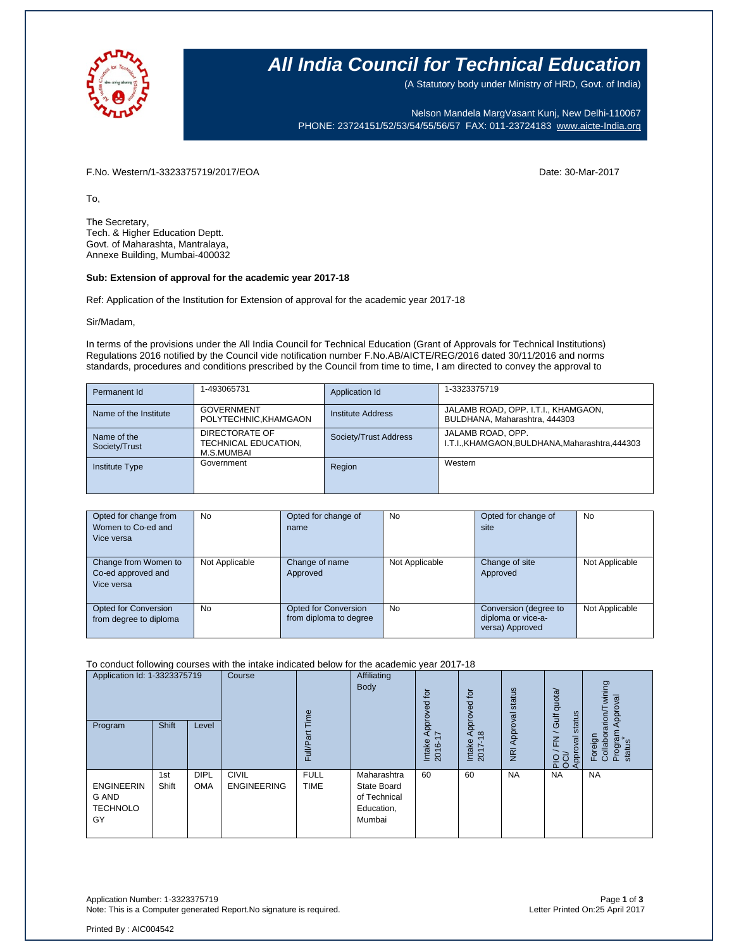

### **All India Council for Technical Education**

(A Statutory body under Ministry of HRD, Govt. of India)

Nelson Mandela MargVasant Kunj, New Delhi-110067 PHONE: 23724151/52/53/54/55/56/57 FAX: 011-23724183 [www.aicte-India.org](http://www.aicte-india.org/)

F.No. Western/1-3323375719/2017/EOA Date: 30-Mar-2017

To,

The Secretary, Tech. & Higher Education Deptt. Govt. of Maharashta, Mantralaya, Annexe Building, Mumbai-400032

#### **Sub: Extension of approval for the academic year 2017-18**

Ref: Application of the Institution for Extension of approval for the academic year 2017-18

Sir/Madam,

In terms of the provisions under the All India Council for Technical Education (Grant of Approvals for Technical Institutions) Regulations 2016 notified by the Council vide notification number F.No.AB/AICTE/REG/2016 dated 30/11/2016 and norms standards, procedures and conditions prescribed by the Council from time to time, I am directed to convey the approval to

| Permanent Id                 | 1-493065731                                          | Application Id        | 1-3323375719                                                         |
|------------------------------|------------------------------------------------------|-----------------------|----------------------------------------------------------------------|
| Name of the Institute        | <b>GOVERNMENT</b><br>POLYTECHNIC, KHAMGAON           | Institute Address     | JALAMB ROAD, OPP. I.T.I., KHAMGAON,<br>BULDHANA, Maharashtra, 444303 |
| Name of the<br>Society/Trust | DIRECTORATE OF<br>TECHNICAL EDUCATION,<br>M.S.MUMBAI | Society/Trust Address | JALAMB ROAD, OPP.<br>I.T.I., KHAMGAON, BULDHANA, Maharashtra, 444303 |
| <b>Institute Type</b>        | Government                                           | Region                | Western                                                              |

| Opted for change from  | <b>No</b>      | Opted for change of    | <b>No</b>      | Opted for change of   | No             |
|------------------------|----------------|------------------------|----------------|-----------------------|----------------|
| Women to Co-ed and     |                | name                   |                | site                  |                |
| Vice versa             |                |                        |                |                       |                |
|                        |                |                        |                |                       |                |
| Change from Women to   | Not Applicable | Change of name         | Not Applicable | Change of site        | Not Applicable |
| Co-ed approved and     |                | Approved               |                | Approved              |                |
| Vice versa             |                |                        |                |                       |                |
|                        |                |                        |                |                       |                |
| Opted for Conversion   | No             | Opted for Conversion   | <b>No</b>      | Conversion (degree to | Not Applicable |
| from degree to diploma |                | from diploma to degree |                | diploma or vice-a-    |                |
|                        |                |                        |                | versa) Approved       |                |

### To conduct following courses with the intake indicated below for the academic year 2017-18

| Application Id: 1-3323375719<br>Program             | Shift        | Level                     | Course                             | Time<br>Full/Part          | Affiliating<br><b>Body</b>                                         | tor<br>ಕ್ಷ<br>Appro <sup>®</sup><br>$\ddot{ }$<br>Intake<br>2016-1 | for<br>್ಠ<br>pid<br>$\Omega$<br>$\infty$<br>Intake<br>2017- | status<br>Approval<br>$\overline{g}$ | quota/<br>status<br>/ Gulf<br>준<br>Approval<br>$\frac{5}{20}$ | wining<br>Approval<br>rarion/T<br>Program<br>Collabor<br>Foreign<br>status |
|-----------------------------------------------------|--------------|---------------------------|------------------------------------|----------------------------|--------------------------------------------------------------------|--------------------------------------------------------------------|-------------------------------------------------------------|--------------------------------------|---------------------------------------------------------------|----------------------------------------------------------------------------|
| <b>ENGINEERIN</b><br>G AND<br><b>TECHNOLO</b><br>GY | 1st<br>Shift | <b>DIPL</b><br><b>OMA</b> | <b>CIVIL</b><br><b>ENGINEERING</b> | <b>FULL</b><br><b>TIME</b> | Maharashtra<br>State Board<br>of Technical<br>Education,<br>Mumbai | 60                                                                 | 60                                                          | <b>NA</b>                            | <b>NA</b>                                                     | <b>NA</b>                                                                  |

Application Number: 1-3323375719 Page **1** of **3** Note: This is a Computer generated Report.No signature is required.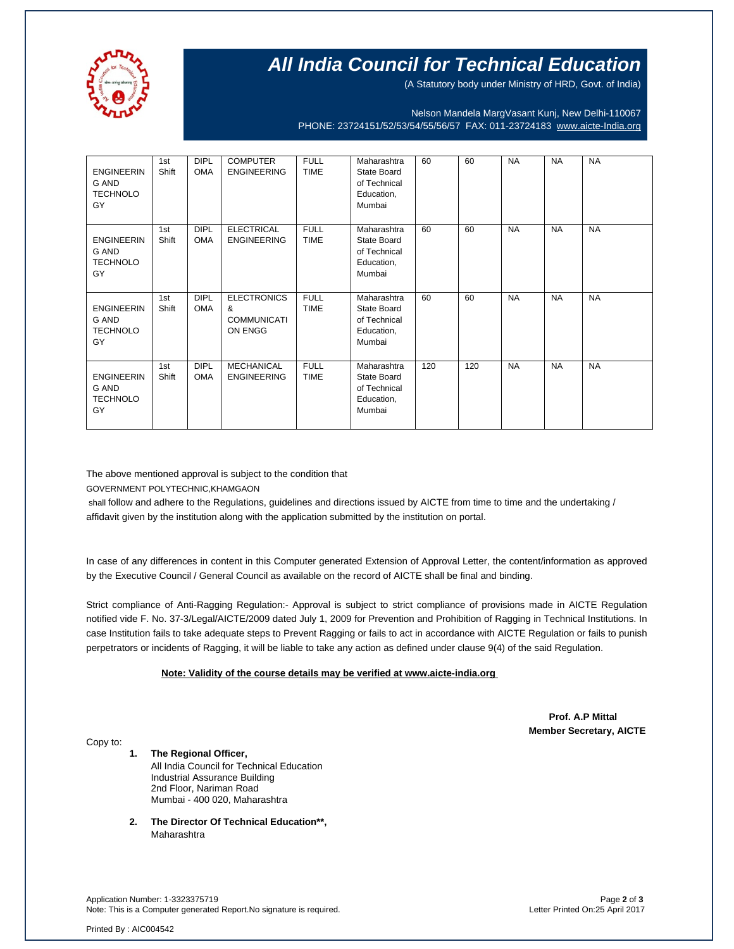

# **All India Council for Technical Education**

(A Statutory body under Ministry of HRD, Govt. of India)

Nelson Mandela MargVasant Kunj, New Delhi-110067 PHONE: 23724151/52/53/54/55/56/57 FAX: 011-23724183 [www.aicte-India.org](http://www.aicte-india.org/)

| <b>ENGINEERIN</b><br>G AND<br><b>TECHNOLO</b><br>GY        | 1st<br>Shift | <b>DIPL</b><br><b>OMA</b> | <b>COMPUTER</b><br><b>ENGINEERING</b>                    | <b>FULL</b><br><b>TIME</b> | Maharashtra<br>State Board<br>of Technical<br>Education,<br>Mumbai | 60  | 60  | <b>NA</b> | <b>NA</b> | <b>NA</b> |
|------------------------------------------------------------|--------------|---------------------------|----------------------------------------------------------|----------------------------|--------------------------------------------------------------------|-----|-----|-----------|-----------|-----------|
| <b>ENGINEERIN</b><br><b>G AND</b><br><b>TECHNOLO</b><br>GY | 1st<br>Shift | <b>DIPL</b><br><b>OMA</b> | <b>ELECTRICAL</b><br><b>ENGINEERING</b>                  | <b>FULL</b><br><b>TIME</b> | Maharashtra<br>State Board<br>of Technical<br>Education,<br>Mumbai | 60  | 60  | <b>NA</b> | <b>NA</b> | <b>NA</b> |
| <b>ENGINEERIN</b><br><b>G AND</b><br><b>TECHNOLO</b><br>GY | 1st<br>Shift | <b>DIPL</b><br><b>OMA</b> | <b>ELECTRONICS</b><br>&<br><b>COMMUNICATI</b><br>ON ENGG | <b>FULL</b><br><b>TIME</b> | Maharashtra<br>State Board<br>of Technical<br>Education,<br>Mumbai | 60  | 60  | <b>NA</b> | <b>NA</b> | <b>NA</b> |
| <b>ENGINEERIN</b><br>G AND<br><b>TECHNOLO</b><br>GY        | 1st<br>Shift | <b>DIPL</b><br><b>OMA</b> | <b>MECHANICAL</b><br><b>ENGINEERING</b>                  | <b>FULL</b><br><b>TIME</b> | Maharashtra<br>State Board<br>of Technical<br>Education,<br>Mumbai | 120 | 120 | <b>NA</b> | <b>NA</b> | <b>NA</b> |

The above mentioned approval is subject to the condition that

GOVERNMENT POLYTECHNIC,KHAMGAON

shall follow and adhere to the Regulations, guidelines and directions issued by AICTE from time to time and the undertaking / affidavit given by the institution along with the application submitted by the institution on portal.

In case of any differences in content in this Computer generated Extension of Approval Letter, the content/information as approved by the Executive Council / General Council as available on the record of AICTE shall be final and binding.

Strict compliance of Anti-Ragging Regulation:- Approval is subject to strict compliance of provisions made in AICTE Regulation notified vide F. No. 37-3/Legal/AICTE/2009 dated July 1, 2009 for Prevention and Prohibition of Ragging in Technical Institutions. In case Institution fails to take adequate steps to Prevent Ragging or fails to act in accordance with AICTE Regulation or fails to punish perpetrators or incidents of Ragging, it will be liable to take any action as defined under clause 9(4) of the said Regulation.

### **Note: Validity of the course details may be verified at www.aicte-india.org**

 **Prof. A.P Mittal Member Secretary, AICTE**

Copy to:

**1. The Regional Officer,** All India Council for Technical Education Industrial Assurance Building 2nd Floor, Nariman Road Mumbai - 400 020, Maharashtra

**2. The Director Of Technical Education\*\*,** Maharashtra

Application Number: 1-3323375719 Page **2** of **3** Note: This is a Computer generated Report.No signature is required.